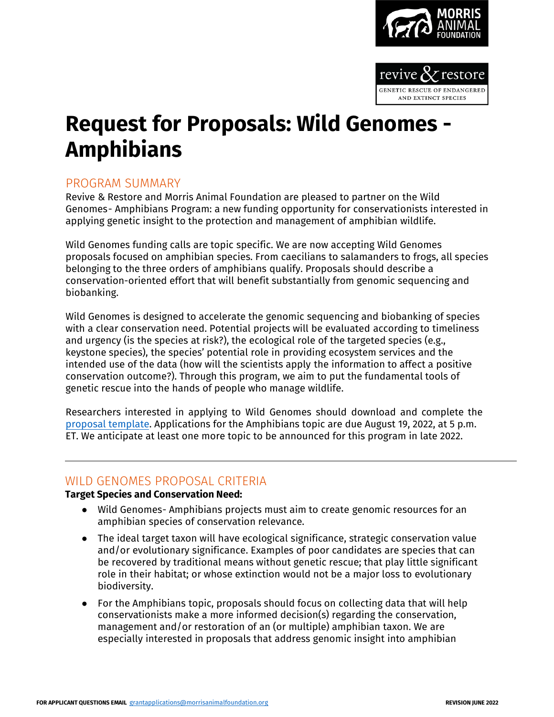



# **Request for Proposals: Wild Genomes - Amphibians**

## PROGRAM SUMMARY

Revive & Restore and Morris Animal Foundation are pleased to partner on the Wild Genomes- Amphibians Program: a new funding opportunity for conservationists interested in applying genetic insight to the protection and management of amphibian wildlife.

Wild Genomes funding calls are topic specific. We are now accepting Wild Genomes proposals focused on amphibian species. From caecilians to salamanders to frogs, all species belonging to the three orders of amphibians qualify. Proposals should describe a conservation-oriented effort that will benefit substantially from genomic sequencing and biobanking.

Wild Genomes is designed to accelerate the genomic sequencing and biobanking of species with a clear conservation need. Potential projects will be evaluated according to timeliness and urgency (is the species at risk?), the ecological role of the targeted species (e.g., keystone species), the species' potential role in providing ecosystem services and the intended use of the data (how will the scientists apply the information to affect a positive conservation outcome?). Through this program, we aim to put the fundamental tools of genetic rescue into the hands of people who manage wildlife.

Researchers interested in applying to Wild Genomes should download and complete the [proposal template.](https://www.morrisanimalfoundation.org/sites/default/files/filesync/FY23-Wildlife-RFP-MAF-Revive-and-Restore-Proposal-Template.docx) Applications for the Amphibians topic are due August 19, 2022, at 5 p.m. ET. We anticipate at least one more topic to be announced for this program in late 2022.

### WILD GENOMES PROPOSAL CRITERIA

#### **Target Species and Conservation Need:**

- Wild Genomes- Amphibians projects must aim to create genomic resources for an amphibian species of conservation relevance.
- The ideal target taxon will have ecological significance, strategic conservation value and/or evolutionary significance. Examples of poor candidates are species that can be recovered by traditional means without genetic rescue; that play little significant role in their habitat; or whose extinction would not be a major loss to evolutionary biodiversity.
- For the Amphibians topic, proposals should focus on collecting data that will help conservationists make a more informed decision(s) regarding the conservation, management and/or restoration of an (or multiple) amphibian taxon. We are especially interested in proposals that address genomic insight into amphibian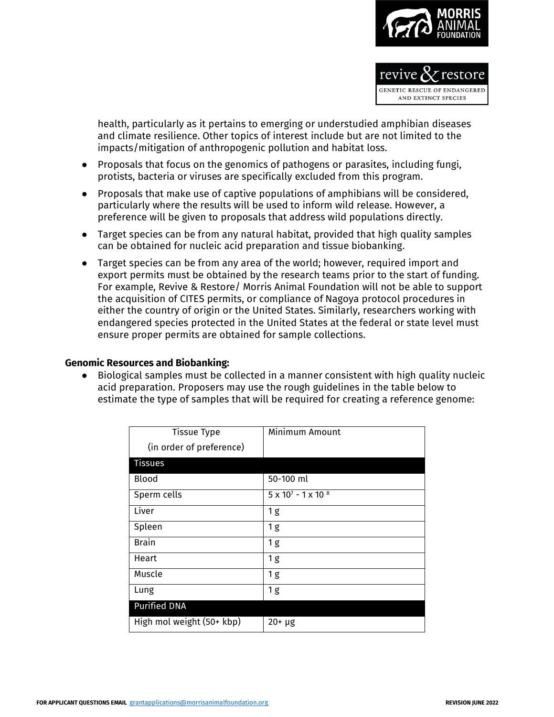

NETIC RESCUE OF ENDANGEREI AND EXTINCT SPECIES

health, particularly as it pertains to emerging or understudied amphibian diseases and climate resilience. Other topics of interest include but are not limited to the impacts/mitigation of anthropogenic pollution and habitat loss.

- Proposals that focus on the genomics of pathogens or parasites, including fungi, protists, bacteria or viruses are specifically excluded from this program.
- Proposals that make use of captive populations of amphibians will be considered, particularly where the results will be used to inform wild release. However, a preference will be given to proposals that address wild populations directly.
- Target species can be from any natural habitat, provided that high quality samples can be obtained for nucleic acid preparation and tissue biobanking.
- Target species can be from any area of the world; however, required import and export permits must be obtained by the research teams prior to the start of funding. For example, Revive & Restore/ Morris Animal Foundation will not be able to support the acquisition of CITES permits, or compliance of Nagoya protocol procedures in either the country of origin or the United States. Similarly, researchers working with endangered species protected in the United States at the federal or state level must ensure proper permits are obtained for sample collections.

#### **Genomic Resources and Biobanking:**

● Biological samples must be collected in a manner consistent with high quality nucleic acid preparation. Proposers may use the rough guidelines in the table below to estimate the type of samples that will be required for creating a reference genome:

| <b>Tissue Type</b>        | Minimum Amount                      |
|---------------------------|-------------------------------------|
| (in order of preference)  |                                     |
| <b>Tissues</b>            |                                     |
| <b>Blood</b>              | 50-100 ml                           |
| Sperm cells               | $5 \times 10^{7} - 1 \times 10^{8}$ |
| Liver                     | 1g                                  |
| Spleen                    | 1g                                  |
| <b>Brain</b>              | 1g                                  |
| Heart                     | 1g                                  |
| Muscle                    | 1g                                  |
| Lung                      | 1 <sub>g</sub>                      |
| <b>Purified DNA</b>       |                                     |
| High mol weight (50+ kbp) | $20+ \mu g$                         |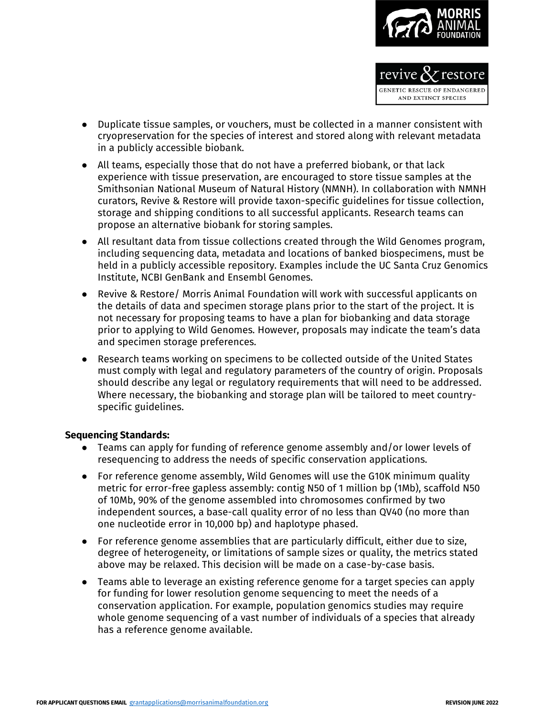

- Duplicate tissue samples, or vouchers, must be collected in a manner consistent with cryopreservation for the species of interest and stored along with relevant metadata in a publicly accessible biobank.
- All teams, especially those that do not have a preferred biobank, or that lack experience with tissue preservation, are encouraged to store tissue samples at the Smithsonian National Museum of Natural History (NMNH). In collaboration with NMNH curators, Revive & Restore will provide taxon-specific guidelines for tissue collection, storage and shipping conditions to all successful applicants. Research teams can propose an alternative biobank for storing samples.
- All resultant data from tissue collections created through the Wild Genomes program, including sequencing data, metadata and locations of banked biospecimens, must be held in a publicly accessible repository. Examples include the UC Santa Cruz Genomics Institute, NCBI GenBank and Ensembl Genomes.
- Revive & Restore/ Morris Animal Foundation will work with successful applicants on the details of data and specimen storage plans prior to the start of the project. It is not necessary for proposing teams to have a plan for biobanking and data storage prior to applying to Wild Genomes. However, proposals may indicate the team's data and specimen storage preferences.
- Research teams working on specimens to be collected outside of the United States must comply with legal and regulatory parameters of the country of origin. Proposals should describe any legal or regulatory requirements that will need to be addressed. Where necessary, the biobanking and storage plan will be tailored to meet countryspecific guidelines.

#### **Sequencing Standards:**

- Teams can apply for funding of reference genome assembly and/or lower levels of resequencing to address the needs of specific conservation applications.
- For reference genome assembly, Wild Genomes will use the G10K minimum quality metric for error-free gapless assembly: contig N50 of 1 million bp (1Mb), scaffold N50 of 10Mb, 90% of the genome assembled into chromosomes confirmed by two independent sources, a base-call quality error of no less than QV40 (no more than one nucleotide error in 10,000 bp) and haplotype phased.
- For reference genome assemblies that are particularly difficult, either due to size, degree of heterogeneity, or limitations of sample sizes or quality, the metrics stated above may be relaxed. This decision will be made on a case-by-case basis.
- Teams able to leverage an existing reference genome for a target species can apply for funding for lower resolution genome sequencing to meet the needs of a conservation application. For example, population genomics studies may require whole genome sequencing of a vast number of individuals of a species that already has a reference genome available.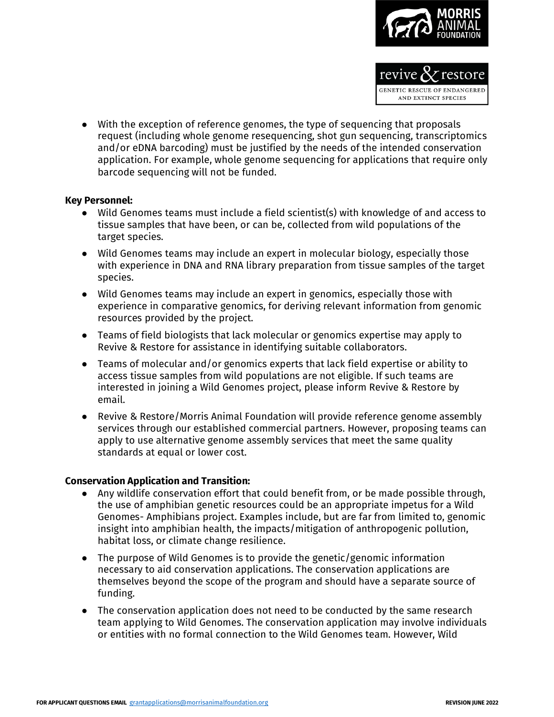

GENETIC RESCUE OF ENDANGEREI AND EXTINCT SPECIES

● With the exception of reference genomes, the type of sequencing that proposals request (including whole genome resequencing, shot gun sequencing, transcriptomics and/or eDNA barcoding) must be justified by the needs of the intended conservation application. For example, whole genome sequencing for applications that require only barcode sequencing will not be funded.

#### **Key Personnel:**

- Wild Genomes teams must include a field scientist(s) with knowledge of and access to tissue samples that have been, or can be, collected from wild populations of the target species.
- Wild Genomes teams may include an expert in molecular biology, especially those with experience in DNA and RNA library preparation from tissue samples of the target species.
- Wild Genomes teams may include an expert in genomics, especially those with experience in comparative genomics, for deriving relevant information from genomic resources provided by the project.
- Teams of field biologists that lack molecular or genomics expertise may apply to Revive & Restore for assistance in identifying suitable collaborators.
- Teams of molecular and/or genomics experts that lack field expertise or ability to access tissue samples from wild populations are not eligible. If such teams are interested in joining a Wild Genomes project, please inform Revive & Restore by email.
- Revive & Restore/Morris Animal Foundation will provide reference genome assembly services through our established commercial partners. However, proposing teams can apply to use alternative genome assembly services that meet the same quality standards at equal or lower cost.

#### **Conservation Application and Transition:**

- Any wildlife conservation effort that could benefit from, or be made possible through, the use of amphibian genetic resources could be an appropriate impetus for a Wild Genomes- Amphibians project. Examples include, but are far from limited to, genomic insight into amphibian health, the impacts/mitigation of anthropogenic pollution, habitat loss, or climate change resilience.
- The purpose of Wild Genomes is to provide the genetic/genomic information necessary to aid conservation applications. The conservation applications are themselves beyond the scope of the program and should have a separate source of funding.
- The conservation application does not need to be conducted by the same research team applying to Wild Genomes. The conservation application may involve individuals or entities with no formal connection to the Wild Genomes team. However, Wild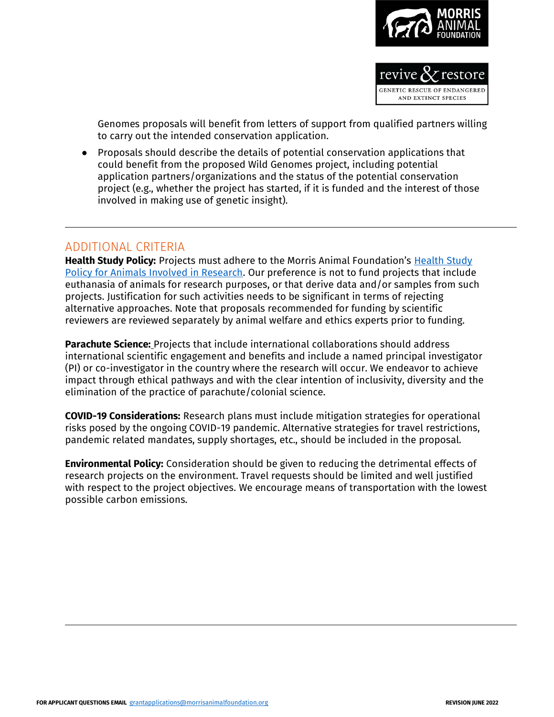

Genomes proposals will benefit from letters of support from qualified partners willing to carry out the intended conservation application.

● Proposals should describe the details of potential conservation applications that could benefit from the proposed Wild Genomes project, including potential application partners/organizations and the status of the potential conservation project (e.g., whether the project has started, if it is funded and the interest of those involved in making use of genetic insight).

## ADDITIONAL CRITERIA

**Health Study Policy:** Projects must adhere to the Morris Animal Foundation's [Health Study](https://www.morrisanimalfoundation.org/sites/default/files/filesync/Health-Study-Policy.pdf)  [Policy for Animals Involved in Research.](https://www.morrisanimalfoundation.org/sites/default/files/filesync/Health-Study-Policy.pdf) Our preference is not to fund projects that include euthanasia of animals for research purposes, or that derive data and/or samples from such projects. Justification for such activities needs to be significant in terms of rejecting alternative approaches. Note that proposals recommended for funding by scientific reviewers are reviewed separately by animal welfare and ethics experts prior to funding.

**Parachute Science:** Projects that include international collaborations should address international scientific engagement and benefits and include a named principal investigator (PI) or co-investigator in the country where the research will occur. We endeavor to achieve impact through ethical pathways and with the clear intention of inclusivity, diversity and the elimination of the practice of parachute/colonial science.

**COVID-19 Considerations:** Research plans must include mitigation strategies for operational risks posed by the ongoing COVID-19 pandemic. Alternative strategies for travel restrictions, pandemic related mandates, supply shortages, etc., should be included in the proposal.

**Environmental Policy:** Consideration should be given to reducing the detrimental effects of research projects on the environment. Travel requests should be limited and well justified with respect to the project objectives. We encourage means of transportation with the lowest possible carbon emissions.